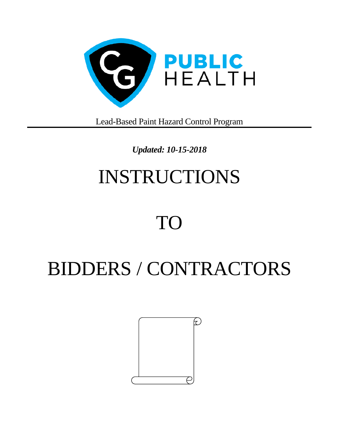

Lead-Based Paint Hazard Control Program

## *Updated: 10-15-2018*

# INSTRUCTIONS

# TO

# BIDDERS / CONTRACTORS

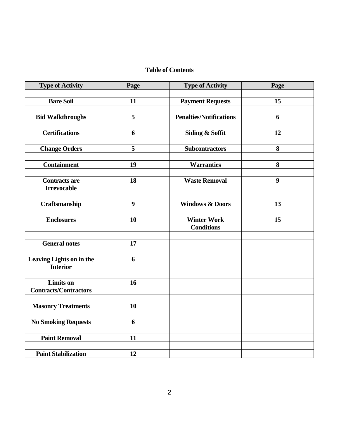#### **Table of Contents**

| <b>Type of Activity</b>                          | Page             | <b>Type of Activity</b>        | Page             |
|--------------------------------------------------|------------------|--------------------------------|------------------|
|                                                  |                  |                                |                  |
| <b>Bare Soil</b>                                 | 11               | <b>Payment Requests</b>        | 15               |
|                                                  |                  |                                |                  |
| <b>Bid Walkthroughs</b>                          | 5                | <b>Penalties/Notifications</b> | 6                |
|                                                  |                  |                                |                  |
| <b>Certifications</b>                            | 6                | <b>Siding &amp; Soffit</b>     | 12               |
|                                                  |                  |                                |                  |
| <b>Change Orders</b>                             | 5                | <b>Subcontractors</b>          | 8                |
| <b>Containment</b>                               | 19               | <b>Warranties</b>              | 8                |
|                                                  |                  |                                |                  |
| <b>Contracts are</b>                             | 18               | <b>Waste Removal</b>           | $\boldsymbol{9}$ |
| <b>Irrevocable</b>                               |                  |                                |                  |
|                                                  |                  |                                |                  |
| Craftsmanship                                    | $\boldsymbol{9}$ | <b>Windows &amp; Doors</b>     | 13               |
|                                                  |                  |                                |                  |
| <b>Enclosures</b>                                | 10               | <b>Winter Work</b>             | 15               |
|                                                  |                  | <b>Conditions</b>              |                  |
|                                                  |                  |                                |                  |
| <b>General notes</b>                             | 17               |                                |                  |
|                                                  |                  |                                |                  |
| Leaving Lights on in the                         | 6                |                                |                  |
| <b>Interior</b>                                  |                  |                                |                  |
|                                                  |                  |                                |                  |
| <b>Limits</b> on<br><b>Contracts/Contractors</b> | 16               |                                |                  |
|                                                  |                  |                                |                  |
| <b>Masonry Treatments</b>                        | 10               |                                |                  |
|                                                  |                  |                                |                  |
| <b>No Smoking Requests</b>                       | 6                |                                |                  |
|                                                  |                  |                                |                  |
| <b>Paint Removal</b>                             | 11               |                                |                  |
|                                                  |                  |                                |                  |
| <b>Paint Stabilization</b>                       | 12               |                                |                  |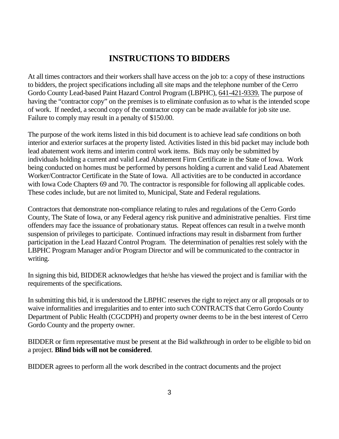## **INSTRUCTIONS TO BIDDERS**

At all times contractors and their workers shall have access on the job to: a copy of these instructions to bidders, the project specifications including all site maps and the telephone number of the Cerro Gordo County Lead-based Paint Hazard Control Program (LBPHC), 641-421-9339. The purpose of having the "contractor copy" on the premises is to eliminate confusion as to what is the intended scope of work. If needed, a second copy of the contractor copy can be made available for job site use. Failure to comply may result in a penalty of \$150.00.

The purpose of the work items listed in this bid document is to achieve lead safe conditions on both interior and exterior surfaces at the property listed. Activities listed in this bid packet may include both lead abatement work items and interim control work items. Bids may only be submitted by individuals holding a current and valid Lead Abatement Firm Certificate in the State of Iowa. Work being conducted on homes must be performed by persons holding a current and valid Lead Abatement Worker/Contractor Certificate in the State of Iowa. All activities are to be conducted in accordance with Iowa Code Chapters 69 and 70. The contractor is responsible for following all applicable codes. These codes include, but are not limited to, Municipal, State and Federal regulations.

Contractors that demonstrate non-compliance relating to rules and regulations of the Cerro Gordo County, The State of Iowa, or any Federal agency risk punitive and administrative penalties. First time offenders may face the issuance of probationary status. Repeat offences can result in a twelve month suspension of privileges to participate. Continued infractions may result in disbarment from further participation in the Lead Hazard Control Program. The determination of penalties rest solely with the LBPHC Program Manager and/or Program Director and will be communicated to the contractor in writing.

In signing this bid, BIDDER acknowledges that he/she has viewed the project and is familiar with the requirements of the specifications.

In submitting this bid, it is understood the LBPHC reserves the right to reject any or all proposals or to waive informalities and irregularities and to enter into such CONTRACTS that Cerro Gordo County Department of Public Health (CGCDPH) and property owner deems to be in the best interest of Cerro Gordo County and the property owner.

BIDDER or firm representative must be present at the Bid walkthrough in order to be eligible to bid on a project. **Blind bids will not be considered**.

BIDDER agrees to perform all the work described in the contract documents and the project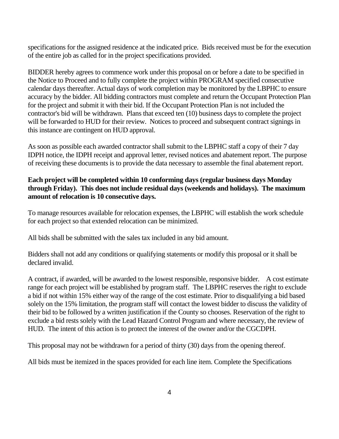specifications for the assigned residence at the indicated price. Bids received must be for the execution of the entire job as called for in the project specifications provided.

BIDDER hereby agrees to commence work under this proposal on or before a date to be specified in the Notice to Proceed and to fully complete the project within PROGRAM specified consecutive calendar days thereafter. Actual days of work completion may be monitored by the LBPHC to ensure accuracy by the bidder. All bidding contractors must complete and return the Occupant Protection Plan for the project and submit it with their bid. If the Occupant Protection Plan is not included the contractor's bid will be withdrawn. Plans that exceed ten (10) business days to complete the project will be forwarded to HUD for their review. Notices to proceed and subsequent contract signings in this instance are contingent on HUD approval.

As soon as possible each awarded contractor shall submit to the LBPHC staff a copy of their 7 day IDPH notice, the IDPH receipt and approval letter, revised notices and abatement report. The purpose of receiving these documents is to provide the data necessary to assemble the final abatement report.

#### **Each project will be completed within 10 conforming days (regular business days Monday through Friday). This does not include residual days (weekends and holidays). The maximum amount of relocation is 10 consecutive days.**

To manage resources available for relocation expenses, the LBPHC will establish the work schedule for each project so that extended relocation can be minimized.

All bids shall be submitted with the sales tax included in any bid amount.

Bidders shall not add any conditions or qualifying statements or modify this proposal or it shall be declared invalid.

A contract, if awarded, will be awarded to the lowest responsible, responsive bidder. A cost estimate range for each project will be established by program staff. The LBPHC reserves the right to exclude a bid if not within 15% either way of the range of the cost estimate. Prior to disqualifying a bid based solely on the 15% limitation, the program staff will contact the lowest bidder to discuss the validity of their bid to be followed by a written justification if the County so chooses. Reservation of the right to exclude a bid rests solely with the Lead Hazard Control Program and where necessary, the review of HUD. The intent of this action is to protect the interest of the owner and/or the CGCDPH.

This proposal may not be withdrawn for a period of thirty (30) days from the opening thereof.

All bids must be itemized in the spaces provided for each line item. Complete the Specifications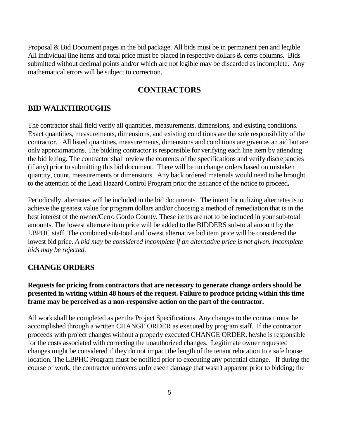Proposal & Bid Document pages in the bid package. All bids must be in permanent pen and legible. All individual line items and total price must be placed in respective dollars & cents columns. Bids submitted without decimal points and/or which are not legible may be discarded as incomplete. Any mathematical errors will be subject to correction.

## **CONTRACTORS**

#### **BID WALKTHROUGHS**

The contractor shall field verify all quantities, measurements, dimensions, and existing conditions. Exact quantities, measurements, dimensions, and existing conditions are the sole responsibility of the contractor. All listed quantities, measurements, dimensions and conditions are given as an aid but are only approximations. The bidding contractor is responsible for verifying each line item by attending the bid letting. The contractor shall review the contents of the specifications and verify discrepancies (if any) prior to submitting this bid document. There will be no change orders based on mistaken quantity, count, measurements or dimensions. Any back ordered materials would need to be brought to the attention of the Lead Hazard Control Program prior the issuance of the notice to proceed**.**

Periodically, alternates will be included in the bid documents. The intent for utilizing alternates is to achieve the greatest value for program dollars and/or choosing a method of remediation that is in the best interest of the owner/Cerro Gordo County. These items are not to be included in your sub-total amounts. The lowest alternate item price will be added to the BIDDERS sub-total amount by the LBPHC staff. The combined sub-total and lowest alternative bid item price will be considered the lowest bid price. *A bid may be considered incomplete if an alternative price is not given. Incomplete bids may be rejected.* 

#### **CHANGE ORDERS**

#### **Requests for pricing from contractors that are necessary to generate change orders should be presented in writing within 48 hours of the request. Failure to produce pricing within this time frame may be perceived as a non-responsive action on the part of the contractor.**

All work shall be completed as per the Project Specifications. Any changes to the contract must be accomplished through a written CHANGE ORDER as executed by program staff. If the contractor proceeds with project changes without a properly executed CHANGE ORDER, he/she is responsible for the costs associated with correcting the unauthorized changes. Legitimate owner requested changes might be considered if they do not impact the length of the tenant relocation to a safe house location. The LBPHC Program must be notified prior to executing any potential change. If during the course of work, the contractor uncovers unforeseen damage that wasn't apparent prior to bidding; the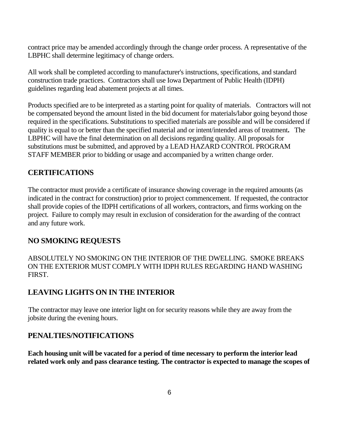contract price may be amended accordingly through the change order process. A representative of the LBPHC shall determine legitimacy of change orders.

All work shall be completed according to manufacturer's instructions, specifications, and standard construction trade practices. Contractors shall use Iowa Department of Public Health (IDPH) guidelines regarding lead abatement projects at all times.

Products specified are to be interpreted as a starting point for quality of materials. Contractors will not be compensated beyond the amount listed in the bid document for materials/labor going beyond those required in the specifications. Substitutions to specified materials are possible and will be considered if quality is equal to or better than the specified material and or intent/intended areas of treatment**.** The LBPHC will have the final determination on all decisions regarding quality. All proposals for substitutions must be submitted, and approved by a LEAD HAZARD CONTROL PROGRAM STAFF MEMBER prior to bidding or usage and accompanied by a written change order.

#### **CERTIFICATIONS**

The contractor must provide a certificate of insurance showing coverage in the required amounts (as indicated in the contract for construction) prior to project commencement. If requested, the contractor shall provide copies of the IDPH certifications of all workers, contractors, and firms working on the project. Failure to comply may result in exclusion of consideration for the awarding of the contract and any future work.

#### **NO SMOKING REQUESTS**

ABSOLUTELY NO SMOKING ON THE INTERIOR OF THE DWELLING. SMOKE BREAKS ON THE EXTERIOR MUST COMPLY WITH IDPH RULES REGARDING HAND WASHING FIRST.

## **LEAVING LIGHTS ON IN THE INTERIOR**

The contractor may leave one interior light on for security reasons while they are away from the jobsite during the evening hours.

#### **PENALTIES/NOTIFICATIONS**

**Each housing unit will be vacated for a period of time necessary to perform the interior lead related work only and pass clearance testing. The contractor is expected to manage the scopes of**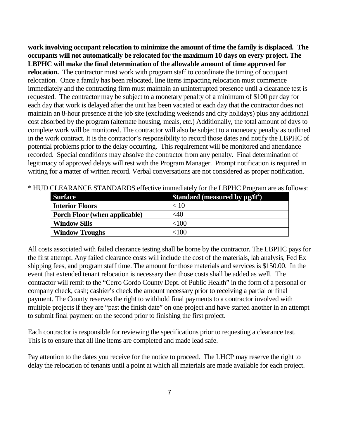**work involving occupant relocation to minimize the amount of time the family is displaced. The occupants will not automatically be relocated for the maximum 10 days on every project. The LBPHC will make the final determination of the allowable amount of time approved for relocation.** The contractor must work with program staff to coordinate the timing of occupant relocation. Once a family has been relocated, line items impacting relocation must commence immediately and the contracting firm must maintain an uninterrupted presence until a clearance test is requested. The contractor may be subject to a monetary penalty of a minimum of \$100 per day for each day that work is delayed after the unit has been vacated or each day that the contractor does not maintain an 8-hour presence at the job site (excluding weekends and city holidays) plus any additional cost absorbed by the program (alternate housing, meals, etc.) Additionally, the total amount of days to complete work will be monitored. The contractor will also be subject to a monetary penalty as outlined in the work contract. It is the contractor's responsibility to record those dates and notify the LBPHC of potential problems prior to the delay occurring. This requirement will be monitored and attendance recorded. Special conditions may absolve the contractor from any penalty. Final determination of legitimacy of approved delays will rest with the Program Manager. Prompt notification is required in writing for a matter of written record. Verbal conversations are not considered as proper notification.

| <b>Surface</b>                       | Standard (measured by $\mu$ g/ft <sup>2</sup> ) |
|--------------------------------------|-------------------------------------------------|
| <b>Interior Floors</b>               | < 10                                            |
| <b>Porch Floor (when applicable)</b> | <40                                             |
| <b>Window Sills</b>                  | ${<}100$                                        |
| <b>Window Troughs</b>                | <100                                            |

\* HUD CLEARANCE STANDARDS effective immediately for the LBPHC Program are as follows:

All costs associated with failed clearance testing shall be borne by the contractor. The LBPHC pays for the first attempt. Any failed clearance costs will include the cost of the materials, lab analysis, Fed Ex shipping fees, and program staff time. The amount for those materials and services is \$150.00. In the event that extended tenant relocation is necessary then those costs shall be added as well. The contractor will remit to the "Cerro Gordo County Dept. of Public Health" in the form of a personal or company check, cash; cashier's check the amount necessary prior to receiving a partial or final payment. The County reserves the right to withhold final payments to a contractor involved with multiple projects if they are "past the finish date" on one project and have started another in an attempt to submit final payment on the second prior to finishing the first project.

Each contractor is responsible for reviewing the specifications prior to requesting a clearance test. This is to ensure that all line items are completed and made lead safe.

Pay attention to the dates you receive for the notice to proceed. The LHCP may reserve the right to delay the relocation of tenants until a point at which all materials are made available for each project.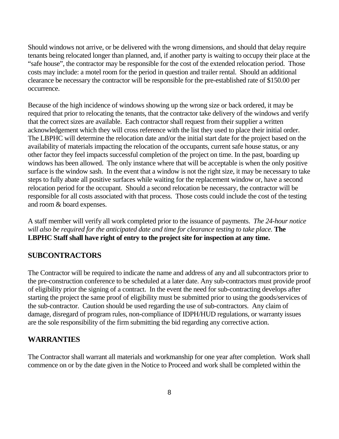Should windows not arrive, or be delivered with the wrong dimensions, and should that delay require tenants being relocated longer than planned, and, if another party is waiting to occupy their place at the "safe house", the contractor may be responsible for the cost of the extended relocation period. Those costs may include: a motel room for the period in question and trailer rental. Should an additional clearance be necessary the contractor will be responsible for the pre-established rate of \$150.00 per occurrence.

Because of the high incidence of windows showing up the wrong size or back ordered, it may be required that prior to relocating the tenants, that the contractor take delivery of the windows and verify that the correct sizes are available. Each contractor shall request from their supplier a written acknowledgement which they will cross reference with the list they used to place their initial order. The LBPHC will determine the relocation date and/or the initial start date for the project based on the availability of materials impacting the relocation of the occupants, current safe house status, or any other factor they feel impacts successful completion of the project on time. In the past, boarding up windows has been allowed. The only instance where that will be acceptable is when the only positive surface is the window sash. In the event that a window is not the right size, it may be necessary to take steps to fully abate all positive surfaces while waiting for the replacement window or, have a second relocation period for the occupant. Should a second relocation be necessary, the contractor will be responsible for all costs associated with that process. Those costs could include the cost of the testing and room & board expenses.

A staff member will verify all work completed prior to the issuance of payments. *The 24-hour notice will also be required for the anticipated date and time for clearance testing to take place.* **The LBPHC Staff shall have right of entry to the project site for inspection at any time.** 

## **SUBCONTRACTORS**

The Contractor will be required to indicate the name and address of any and all subcontractors prior to the pre-construction conference to be scheduled at a later date. Any sub-contractors must provide proof of eligibility prior the signing of a contract. In the event the need for sub-contracting develops after starting the project the same proof of eligibility must be submitted prior to using the goods/services of the sub-contractor. Caution should be used regarding the use of sub-contractors. Any claim of damage, disregard of program rules, non-compliance of IDPH/HUD regulations, or warranty issues are the sole responsibility of the firm submitting the bid regarding any corrective action.

#### **WARRANTIES**

The Contractor shall warrant all materials and workmanship for one year after completion. Work shall commence on or by the date given in the Notice to Proceed and work shall be completed within the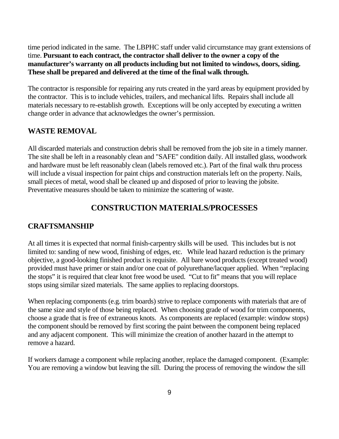time period indicated in the same. The LBPHC staff under valid circumstance may grant extensions of time. **Pursuant to each contract, the contractor shall deliver to the owner a copy of the manufacturer's warranty on all products including but not limited to windows, doors, siding. These shall be prepared and delivered at the time of the final walk through.** 

The contractor is responsible for repairing any ruts created in the yard areas by equipment provided by the contractor. This is to include vehicles, trailers, and mechanical lifts. Repairs shall include all materials necessary to re-establish growth. Exceptions will be only accepted by executing a written change order in advance that acknowledges the owner's permission.

#### **WASTE REMOVAL**

All discarded materials and construction debris shall be removed from the job site in a timely manner. The site shall be left in a reasonably clean and "SAFE" condition daily. All installed glass, woodwork and hardware must be left reasonably clean (labels removed etc.). Part of the final walk thru process will include a visual inspection for paint chips and construction materials left on the property. Nails, small pieces of metal, wood shall be cleaned up and disposed of prior to leaving the jobsite. Preventative measures should be taken to minimize the scattering of waste.

## **CONSTRUCTION MATERIALS/PROCESSES**

#### **CRAFTSMANSHIP**

At all times it is expected that normal finish-carpentry skills will be used. This includes but is not limited to: sanding of new wood, finishing of edges, etc. While lead hazard reduction is the primary objective, a good-looking finished product is requisite. All bare wood products (except treated wood) provided must have primer or stain and/or one coat of polyurethane/lacquer applied. When "replacing the stops" it is required that clear knot free wood be used. "Cut to fit" means that you will replace stops using similar sized materials. The same applies to replacing doorstops.

When replacing components (e.g. trim boards) strive to replace components with materials that are of the same size and style of those being replaced. When choosing grade of wood for trim components, choose a grade that is free of extraneous knots. As components are replaced (example: window stops) the component should be removed by first scoring the paint between the component being replaced and any adjacent component. This will minimize the creation of another hazard in the attempt to remove a hazard.

If workers damage a component while replacing another, replace the damaged component. (Example: You are removing a window but leaving the sill. During the process of removing the window the sill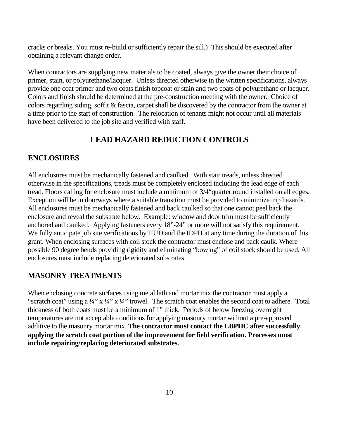cracks or breaks. You must re-build or sufficiently repair the sill.) This should be executed after obtaining a relevant change order.

When contractors are supplying new materials to be coated, always give the owner their choice of primer, stain, or polyurethane/lacquer. Unless directed otherwise in the written specifications, always provide one coat primer and two coats finish topcoat or stain and two coats of polyurethane or lacquer. Colors and finish should be determined at the pre-construction meeting with the owner. Choice of colors regarding siding, soffit & fascia, carpet shall be discovered by the contractor from the owner at a time prior to the start of construction. The relocation of tenants might not occur until all materials have been delivered to the job site and verified with staff.

## **LEAD HAZARD REDUCTION CONTROLS**

#### **ENCLOSURES**

All enclosures must be mechanically fastened and caulked. With stair treads, unless directed otherwise in the specifications, treads must be completely enclosed including the lead edge of each tread. Floors calling for enclosure must include a minimum of 3/4"quarter round installed on all edges. Exception will be in doorways where a suitable transition must be provided to minimize trip hazards. All enclosures must be mechanically fastened and back caulked so that one cannot peel back the enclosure and reveal the substrate below. Example: window and door trim must be sufficiently anchored and caulked. Applying fasteners every 18"-24" or more will not satisfy this requirement. We fully anticipate job site verifications by HUD and the IDPH at any time during the duration of this grant. When enclosing surfaces with coil stock the contractor must enclose and back caulk. Where possible 90 degree bends providing rigidity and eliminating "bowing" of coil stock should be used. All enclosures must include replacing deteriorated substrates.

## **MASONRY TREATMENTS**

When enclosing concrete surfaces using metal lath and mortar mix the contractor must apply a "scratch coat" using a  $\frac{1}{4}$ " x  $\frac{1}{4}$ " x  $\frac{1}{4}$ " trowel. The scratch coat enables the second coat to adhere. Total thickness of both coats must be a minimum of 1" thick. Periods of below freezing overnight temperatures are not acceptable conditions for applying masonry mortar without a pre-approved additive to the masonry mortar mix. **The contractor must contact the LBPHC after successfully applying the scratch coat portion of the improvement for field verification. Processes must include repairing/replacing deteriorated substrates.**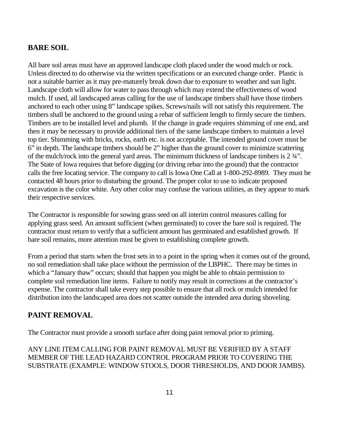#### **BARE SOIL**

All bare soil areas must have an approved landscape cloth placed under the wood mulch or rock. Unless directed to do otherwise via the written specifications or an executed change order. Plastic is not a suitable barrier as it may pre-maturely break down due to exposure to weather and sun light. Landscape cloth will allow for water to pass through which may extend the effectiveness of wood mulch. If used, all landscaped areas calling for the use of landscape timbers shall have those timbers anchored to each other using 8" landscape spikes. Screws/nails will not satisfy this requirement. The timbers shall be anchored to the ground using a rebar of sufficient length to firmly secure the timbers. Timbers are to be installed level and plumb. If the change in grade requires shimming of one end, and then it may be necessary to provide additional tiers of the same landscape timbers to maintain a level top tier. Shimming with bricks, rocks, earth etc. is not acceptable. The intended ground cover must be 6" in depth. The landscape timbers should be 2" higher than the ground cover to minimize scattering of the mulch/rock into the general yard areas. The minimum thickness of landscape timbers is 2 ¾". The State of Iowa requires that before digging (or driving rebar into the ground) that the contractor calls the free locating service. The company to call is Iowa One Call at 1-800-292-8989. They must be contacted 48 hours prior to disturbing the ground. The proper color to use to indicate proposed excavation is the color white. Any other color may confuse the various utilities, as they appear to mark their respective services.

The Contractor is responsible for sowing grass seed on all interim control measures calling for applying grass seed. An amount sufficient (when germinated) to cover the bare soil is required. The contractor must return to verify that a sufficient amount has germinated and established growth. If bare soil remains, more attention must be given to establishing complete growth.

From a period that starts when the frost sets in to a point in the spring when it comes out of the ground, no soil remediation shall take place without the permission of the LBPHC. There may be times in which a "January thaw" occurs; should that happen you might be able to obtain permission to complete soil remediation line items. Failure to notify may result in corrections at the contractor's expense. The contractor shall take every step possible to ensure that all rock or mulch intended for distribution into the landscaped area does not scatter outside the intended area during shoveling.

#### **PAINT REMOVAL**

The Contractor must provide a smooth surface after doing paint removal prior to priming.

ANY LINE ITEM CALLING FOR PAINT REMOVAL MUST BE VERIFIED BY A STAFF MEMBER OF THE LEAD HAZARD CONTROL PROGRAM PRIOR TO COVERING THE SUBSTRATE (EXAMPLE: WINDOW STOOLS, DOOR THRESHOLDS, AND DOOR JAMBS).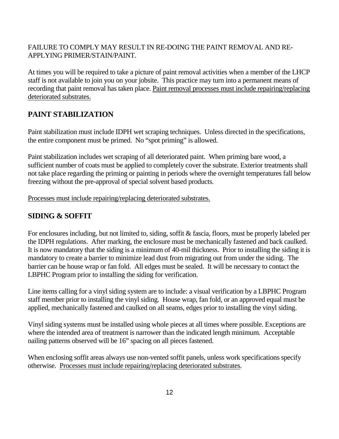#### FAILURE TO COMPLY MAY RESULT IN RE-DOING THE PAINT REMOVAL AND RE-APPLYING PRIMER/STAIN/PAINT.

At times you will be required to take a picture of paint removal activities when a member of the LHCP staff is not available to join you on your jobsite. This practice may turn into a permanent means of recording that paint removal has taken place. Paint removal processes must include repairing/replacing deteriorated substrates.

## **PAINT STABILIZATION**

Paint stabilization must include IDPH wet scraping techniques. Unless directed in the specifications, the entire component must be primed. No "spot priming" is allowed.

Paint stabilization includes wet scraping of all deteriorated paint. When priming bare wood, a sufficient number of coats must be applied to completely cover the substrate. Exterior treatments shall not take place regarding the priming or painting in periods where the overnight temperatures fall below freezing without the pre-approval of special solvent based products.

Processes must include repairing/replacing deteriorated substrates.

#### **SIDING & SOFFIT**

For enclosures including, but not limited to, siding, soffit & fascia, floors, must be properly labeled per the IDPH regulations. After marking, the enclosure must be mechanically fastened and back caulked. It is now mandatory that the siding is a minimum of 40-mil thickness. Prior to installing the siding it is mandatory to create a barrier to minimize lead dust from migrating out from under the siding. The barrier can be house wrap or fan fold. All edges must be sealed. It will be necessary to contact the LBPHC Program prior to installing the siding for verification.

Line items calling for a vinyl siding system are to include: a visual verification by a LBPHC Program staff member prior to installing the vinyl siding. House wrap, fan fold, or an approved equal must be applied, mechanically fastened and caulked on all seams, edges prior to installing the vinyl siding.

Vinyl siding systems must be installed using whole pieces at all times where possible. Exceptions are where the intended area of treatment is narrower than the indicated length minimum. Acceptable nailing patterns observed will be 16" spacing on all pieces fastened.

When enclosing soffit areas always use non-vented soffit panels, unless work specifications specify otherwise. Processes must include repairing/replacing deteriorated substrates.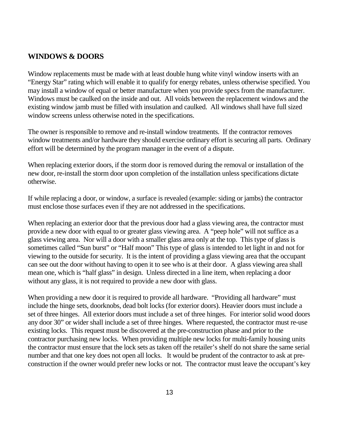#### **WINDOWS & DOORS**

Window replacements must be made with at least double hung white vinyl window inserts with an "Energy Star" rating which will enable it to qualify for energy rebates, unless otherwise specified. You may install a window of equal or better manufacture when you provide specs from the manufacturer. Windows must be caulked on the inside and out. All voids between the replacement windows and the existing window jamb must be filled with insulation and caulked. All windows shall have full sized window screens unless otherwise noted in the specifications.

The owner is responsible to remove and re-install window treatments. If the contractor removes window treatments and/or hardware they should exercise ordinary effort is securing all parts. Ordinary effort will be determined by the program manager in the event of a dispute.

When replacing exterior doors, if the storm door is removed during the removal or installation of the new door, re-install the storm door upon completion of the installation unless specifications dictate otherwise.

If while replacing a door, or window, a surface is revealed (example: siding or jambs) the contractor must enclose those surfaces even if they are not addressed in the specifications.

When replacing an exterior door that the previous door had a glass viewing area, the contractor must provide a new door with equal to or greater glass viewing area. A "peep hole" will not suffice as a glass viewing area. Nor will a door with a smaller glass area only at the top. This type of glass is sometimes called "Sun burst" or "Half moon" This type of glass is intended to let light in and not for viewing to the outside for security. It is the intent of providing a glass viewing area that the occupant can see out the door without having to open it to see who is at their door. A glass viewing area shall mean one, which is "half glass" in design. Unless directed in a line item, when replacing a door without any glass, it is not required to provide a new door with glass.

When providing a new door it is required to provide all hardware. "Providing all hardware" must include the hinge sets, doorknobs, dead bolt locks (for exterior doors). Heavier doors must include a set of three hinges. All exterior doors must include a set of three hinges. For interior solid wood doors any door 30" or wider shall include a set of three hinges. Where requested, the contractor must re-use existing locks. This request must be discovered at the pre-construction phase and prior to the contractor purchasing new locks. When providing multiple new locks for multi-family housing units the contractor must ensure that the lock sets as taken off the retailer's shelf do not share the same serial number and that one key does not open all locks. It would be prudent of the contractor to ask at preconstruction if the owner would prefer new locks or not. The contractor must leave the occupant's key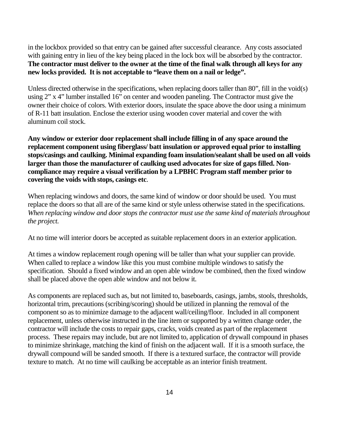in the lockbox provided so that entry can be gained after successful clearance. Any costs associated with gaining entry in lieu of the key being placed in the lock box will be absorbed by the contractor. **The contractor must deliver to the owner at the time of the final walk through all keys for any new locks provided. It is not acceptable to "leave them on a nail or ledge".**

Unless directed otherwise in the specifications, when replacing doors taller than 80", fill in the void(s) using 2" x 4" lumber installed 16" on center and wooden paneling. The Contractor must give the owner their choice of colors. With exterior doors, insulate the space above the door using a minimum of R-11 batt insulation. Enclose the exterior using wooden cover material and cover the with aluminum coil stock.

**Any window or exterior door replacement shall include filling in of any space around the replacement component using fiberglass/ batt insulation or approved equal prior to installing stops/casings and caulking. Minimal expanding foam insulation/sealant shall be used on all voids larger than those the manufacturer of caulking used advocates for size of gaps filled. Noncompliance may require a visual verification by a LPBHC Program staff member prior to covering the voids with stops, casings etc**.

When replacing windows and doors, the same kind of window or door should be used. You must replace the doors so that all are of the same kind or style unless otherwise stated in the specifications. *When replacing window and door stops the contractor must use the same kind of materials throughout the project.*

At no time will interior doors be accepted as suitable replacement doors in an exterior application.

At times a window replacement rough opening will be taller than what your supplier can provide. When called to replace a window like this you must combine multiple windows to satisfy the specification. Should a fixed window and an open able window be combined, then the fixed window shall be placed above the open able window and not below it.

As components are replaced such as, but not limited to, baseboards, casings, jambs, stools, thresholds, horizontal trim, precautions (scribing/scoring) should be utilized in planning the removal of the component so as to minimize damage to the adjacent wall/ceiling/floor. Included in all component replacement, unless otherwise instructed in the line item or supported by a written change order, the contractor will include the costs to repair gaps, cracks, voids created as part of the replacement process. These repairs may include, but are not limited to, application of drywall compound in phases to minimize shrinkage, matching the kind of finish on the adjacent wall. If it is a smooth surface, the drywall compound will be sanded smooth. If there is a textured surface, the contractor will provide texture to match. At no time will caulking be acceptable as an interior finish treatment.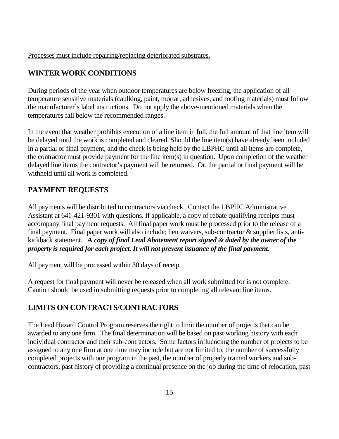Processes must include repairing/replacing deteriorated substrates.

## **WINTER WORK CONDITIONS**

During periods of the year when outdoor temperatures are below freezing, the application of all temperature sensitive materials (caulking, paint, mortar, adhesives, and roofing materials) must follow the manufacturer's label instructions. Do not apply the above-mentioned materials when the temperatures fall below the recommended ranges.

In the event that weather prohibits execution of a line item in full, the full amount of that line item will be delayed until the work is completed and cleared. Should the line item(s) have already been included in a partial or final payment, and the check is being held by the LBPHC until all items are complete, the contractor must provide payment for the line item(s) in question. Upon completion of the weather delayed line items the contractor's payment will be returned. Or, the partial or final payment will be withheld until all work is completed.

## **PAYMENT REQUESTS**

All payments will be distributed to contractors via check. Contact the LBPHC Administrative Assistant at 641-421-9301 with questions. If applicable, a copy of rebate qualifying receipts must accompany final payment requests. All final paper work must be processed prior to the release of a final payment. Final paper work will also include; lien waivers, sub-contractor & supplier lists, antikickback statement. **A** *copy of final Lead Abatement report signed & dated by the owner of the property is required for each project. It will not prevent issuance of the final payment.*

All payment will be processed within 30 days of receipt.

A request for final payment will never be released when all work submitted for is not complete. Caution should be used in submitting requests prior to completing all relevant line items.

## **LIMITS ON CONTRACTS/CONTRACTORS**

The Lead Hazard Control Program reserves the right to limit the number of projects that can be awarded to any one firm. The final determination will be based on past working history with each individual contractor and their sub-contractors. Some factors influencing the number of projects to be assigned to any one firm at one time may include but are not limited to: the number of successfully completed projects with our program in the past, the number of properly trained workers and subcontractors, past history of providing a continual presence on the job during the time of relocation, past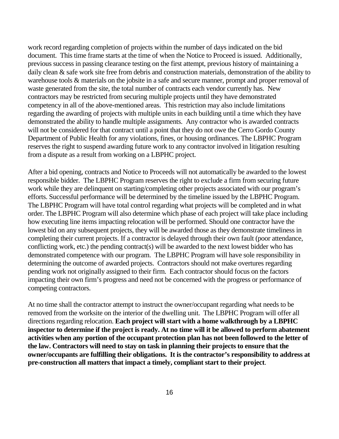work record regarding completion of projects within the number of days indicated on the bid document. This time frame starts at the time of when the Notice to Proceed is issued. Additionally, previous success in passing clearance testing on the first attempt, previous history of maintaining a daily clean & safe work site free from debris and construction materials, demonstration of the ability to warehouse tools & materials on the jobsite in a safe and secure manner, prompt and proper removal of waste generated from the site, the total number of contracts each vendor currently has. New contractors may be restricted from securing multiple projects until they have demonstrated competency in all of the above-mentioned areas. This restriction may also include limitations regarding the awarding of projects with multiple units in each building until a time which they have demonstrated the ability to handle multiple assignments. Any contractor who is awarded contracts will not be considered for that contract until a point that they do not owe the Cerro Gordo County Department of Public Health for any violations, fines, or housing ordinances. The LBPHC Program reserves the right to suspend awarding future work to any contractor involved in litigation resulting from a dispute as a result from working on a LBPHC project.

After a bid opening, contracts and Notice to Proceeds will not automatically be awarded to the lowest responsible bidder. The LBPHC Program reserves the right to exclude a firm from securing future work while they are delinquent on starting/completing other projects associated with our program's efforts. Successful performance will be determined by the timeline issued by the LBPHC Program. The LBPHC Program will have total control regarding what projects will be completed and in what order. The LBPHC Program will also determine which phase of each project will take place including how executing line items impacting relocation will be performed. Should one contractor have the lowest bid on any subsequent projects, they will be awarded those as they demonstrate timeliness in completing their current projects. If a contractor is delayed through their own fault (poor attendance, conflicting work, etc.) the pending contract(s) will be awarded to the next lowest bidder who has demonstrated competence with our program. The LBPHC Program will have sole responsibility in determining the outcome of awarded projects. Contractors should not make overtures regarding pending work not originally assigned to their firm. Each contractor should focus on the factors impacting their own firm's progress and need not be concerned with the progress or performance of competing contractors.

At no time shall the contractor attempt to instruct the owner/occupant regarding what needs to be removed from the worksite on the interior of the dwelling unit. The LBPHC Program will offer all directions regarding relocation. **Each project will start with a home walkthrough by a LBPHC inspector to determine if the project is ready. At no time will it be allowed to perform abatement activities when any portion of the occupant protection plan has not been followed to the letter of the law. Contractors will need to stay on task in planning their projects to ensure that the owner/occupants are fulfilling their obligations. It is the contractor's responsibility to address at pre-construction all matters that impact a timely, compliant start to their project**.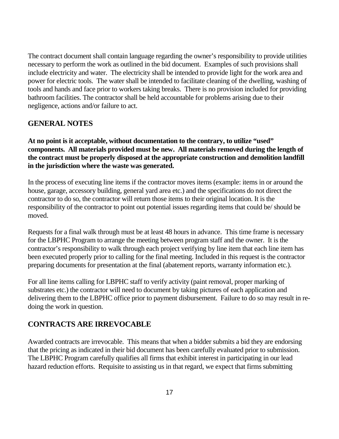The contract document shall contain language regarding the owner's responsibility to provide utilities necessary to perform the work as outlined in the bid document. Examples of such provisions shall include electricity and water. The electricity shall be intended to provide light for the work area and power for electric tools. The water shall be intended to facilitate cleaning of the dwelling, washing of tools and hands and face prior to workers taking breaks. There is no provision included for providing bathroom facilities. The contractor shall be held accountable for problems arising due to their negligence, actions and/or failure to act.

#### **GENERAL NOTES**

**At no point is it acceptable, without documentation to the contrary, to utilize "used" components. All materials provided must be new. All materials removed during the length of the contract must be properly disposed at the appropriate construction and demolition landfill in the jurisdiction where the waste was generated.**

In the process of executing line items if the contractor moves items (example: items in or around the house, garage, accessory building, general yard area etc.) and the specifications do not direct the contractor to do so, the contractor will return those items to their original location. It is the responsibility of the contractor to point out potential issues regarding items that could be/ should be moved.

Requests for a final walk through must be at least 48 hours in advance. This time frame is necessary for the LBPHC Program to arrange the meeting between program staff and the owner. It is the contractor's responsibility to walk through each project verifying by line item that each line item has been executed properly prior to calling for the final meeting. Included in this request is the contractor preparing documents for presentation at the final (abatement reports, warranty information etc.).

For all line items calling for LBPHC staff to verify activity (paint removal, proper marking of substrates etc.) the contractor will need to document by taking pictures of each application and delivering them to the LBPHC office prior to payment disbursement. Failure to do so may result in redoing the work in question.

#### **CONTRACTS ARE IRREVOCABLE**

Awarded contracts are irrevocable. This means that when a bidder submits a bid they are endorsing that the pricing as indicated in their bid document has been carefully evaluated prior to submission. The LBPHC Program carefully qualifies all firms that exhibit interest in participating in our lead hazard reduction efforts. Requisite to assisting us in that regard, we expect that firms submitting